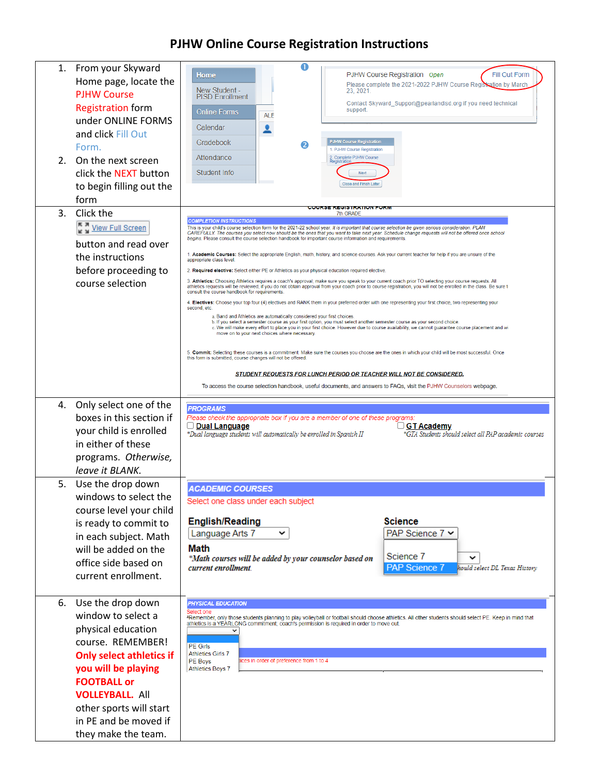## **PJHW Online Course Registration Instructions**

| 2 <sub>1</sub> | 1. From your Skyward<br>Home page, locate the<br><b>PJHW Course</b><br><b>Registration form</b><br>under ONLINE FORMS<br>and click Fill Out<br>Form.<br>On the next screen<br>click the NEXT button<br>to begin filling out the<br>form                                 | O<br>Fill Out Form<br>PJHW Course Registration Open<br>Home<br>Please complete the 2021-2022 PJHW Course Registration by March<br>New Student -<br>23, 2021.<br><b>PISD Enrollment</b><br>Contact Skyward_Support@pearlandisd.org if you need technical<br>support.<br><b>Online Forms</b><br><b>ALE</b><br>Calendar<br><b>PJHW Course Registration</b><br>Gradebook<br>2<br>1. PJHW Course Registration<br>Attendance<br>2. Complete PJHW Course<br>Registration<br>Student Info<br>Next<br>Close and Finish Later                                                                                                                                                                                                                                                                                                                                                                                                                                                                                                                                                                                                                                                                                                                                                                                                                                                                                                                                                                                                                                                                                                                                                                                                                                                                                                                                                                                                                                                                                                                                                                                                                                                              |  |  |  |
|----------------|-------------------------------------------------------------------------------------------------------------------------------------------------------------------------------------------------------------------------------------------------------------------------|----------------------------------------------------------------------------------------------------------------------------------------------------------------------------------------------------------------------------------------------------------------------------------------------------------------------------------------------------------------------------------------------------------------------------------------------------------------------------------------------------------------------------------------------------------------------------------------------------------------------------------------------------------------------------------------------------------------------------------------------------------------------------------------------------------------------------------------------------------------------------------------------------------------------------------------------------------------------------------------------------------------------------------------------------------------------------------------------------------------------------------------------------------------------------------------------------------------------------------------------------------------------------------------------------------------------------------------------------------------------------------------------------------------------------------------------------------------------------------------------------------------------------------------------------------------------------------------------------------------------------------------------------------------------------------------------------------------------------------------------------------------------------------------------------------------------------------------------------------------------------------------------------------------------------------------------------------------------------------------------------------------------------------------------------------------------------------------------------------------------------------------------------------------------------------|--|--|--|
| 3.             | Click the<br>View Full Screen<br>button and read over<br>the instructions<br>before proceeding to<br>course selection                                                                                                                                                   | COURSE REGISTRATION FORM<br>7th GRADE<br><b>COMPLETION INSTRUCTIONS</b><br>This is your child's course selection form for the 2021-22 school year. It is important that course selection be given serious consideration. PLAN<br>CAREFULLY. The courses you select now should be the ones that you want to take next year. Schedule change requests will not be offered once school<br>begins. Please consult the course selection handbook for important course information and requirements<br>1. Academic Courses: Select the appropriate English, math, history, and science courses. Ask your current teacher for help if you are unsure of the<br>appropriate class level.<br>2. Required elective: Select either PE or Athletics as your physical education required elective.<br>3. Athletics: Choosing Athletics requires a coach's approval; make sure you speak to your current coach prior TO selecting your course requests. All<br>athletics requests will be reviewed; if you do not obtain approval from your coach prior to course registration, you will not be enrolled in the class. Be sure t<br>consult the course handbook for requirements.<br>4. Electives: Choose your top four (4) electives and RANK them in your preferred order with one representing your first choice, two representing your<br>second, etc.<br>a. Band and Athletics are automatically considered your first choices.<br>b. If you select a semester course as your first option, you must select another semester course as your second choice.<br>c. We will make every effort to place you in your first choice. However due to course availability, we cannot guarantee course placement and wi<br>move on to your next choices where necessary.<br>5. Commit: Selecting these courses is a commitment. Make sure the courses you choose are the ones in which your child will be most successful. Once<br>this form is submitted, course changes will not be offered.<br><b>STUDENT REQUESTS FOR LUNCH PERIOD OR TEACHER WILL NOT BE CONSIDERED.</b><br>To access the course selection handbook, useful documents, and answers to FAQs, visit the PJHW Counselors webpage. |  |  |  |
| 4.             | Only select one of the<br>boxes in this section if<br>your child is enrolled<br>in either of these<br>programs. Otherwise,<br>leave it BLANK.                                                                                                                           | <b>PROGRAMS</b><br>Please check the appropriate box if you are a member of one of these programs:<br>GT Academy<br><u> □ Dual Language</u><br>*Dual language students will automatically be enrolled in Spanish II<br>*GTA Students should select all PAP academic courses                                                                                                                                                                                                                                                                                                                                                                                                                                                                                                                                                                                                                                                                                                                                                                                                                                                                                                                                                                                                                                                                                                                                                                                                                                                                                                                                                                                                                                                                                                                                                                                                                                                                                                                                                                                                                                                                                                       |  |  |  |
| 5.             | Use the drop down<br>windows to select the<br>course level your child<br>is ready to commit to<br>in each subject. Math<br>will be added on the<br>office side based on<br>current enrollment.                                                                          | <b>ACADEMIC COURSES</b><br>Select one class under each subject<br><b>English/Reading</b><br><b>Science</b><br>PAP Science 7 <b>∨</b><br>Language Arts 7<br>v<br>Math<br>Science 7<br>*Math courses will be added by your counselor based on<br><b>PAP Science 7</b><br>current enrollment.<br>hould select DL Texas History                                                                                                                                                                                                                                                                                                                                                                                                                                                                                                                                                                                                                                                                                                                                                                                                                                                                                                                                                                                                                                                                                                                                                                                                                                                                                                                                                                                                                                                                                                                                                                                                                                                                                                                                                                                                                                                      |  |  |  |
| 6.             | Use the drop down<br>window to select a<br>physical education<br>course. REMEMBER!<br><b>Only select athletics if</b><br>you will be playing<br><b>FOOTBALL or</b><br><b>VOLLEYBALL. All</b><br>other sports will start<br>in PE and be moved if<br>they make the team. | <b>PHYSICAL EDUCATION</b><br>Select one<br>*Remember, only those students planning to play volleyball or football should choose athletics. All other students should select PE. Keep in mind that<br>athletics is a YEARLONG commitment; coach's permission is required in order to move out.<br><b>PE Girls</b><br><b>Athletics Girls 7</b><br>ices in order of preference from 1 to 4<br>PE Boys<br><b>Athletics Boys 7</b>                                                                                                                                                                                                                                                                                                                                                                                                                                                                                                                                                                                                                                                                                                                                                                                                                                                                                                                                                                                                                                                                                                                                                                                                                                                                                                                                                                                                                                                                                                                                                                                                                                                                                                                                                    |  |  |  |